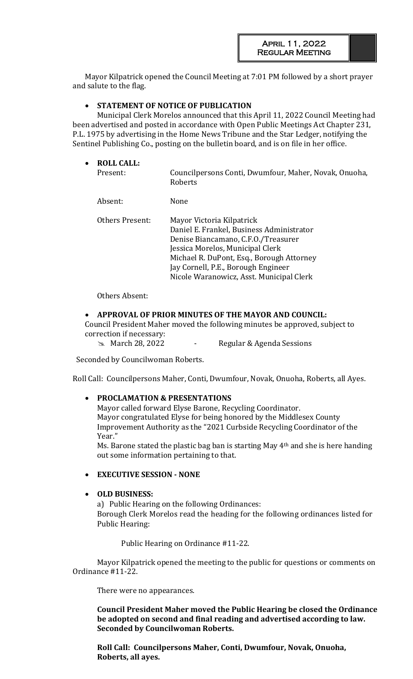Mayor Kilpatrick opened the Council Meeting at 7:01 PM followed by a short prayer and salute to the flag.

# • **STATEMENT OF NOTICE OF PUBLICATION**

Municipal Clerk Morelos announced that this April 11, 2022 Council Meeting had been advertised and posted in accordance with Open Public Meetings Act Chapter 231, P.L. 1975 by advertising in the Home News Tribune and the Star Ledger, notifying the Sentinel Publishing Co., posting on the bulletin board, and is on file in her office.

| $\bullet$ | <b>ROLL CALL:</b><br>Present: | Councilpersons Conti, Dwumfour, Maher, Novak, Onuoha,<br>Roberts                                                                                                                                                                                                                  |
|-----------|-------------------------------|-----------------------------------------------------------------------------------------------------------------------------------------------------------------------------------------------------------------------------------------------------------------------------------|
|           | Absent:                       | <b>None</b>                                                                                                                                                                                                                                                                       |
|           | Others Present:               | Mayor Victoria Kilpatrick<br>Daniel E. Frankel, Business Administrator<br>Denise Biancamano, C.F.O./Treasurer<br>Jessica Morelos, Municipal Clerk<br>Michael R. DuPont, Esq., Borough Attorney<br>Jay Cornell, P.E., Borough Engineer<br>Nicole Waranowicz, Asst. Municipal Clerk |

Others Absent:

### • **APPROVAL OF PRIOR MINUTES OF THE MAYOR AND COUNCIL:**

Council President Maher moved the following minutes be approved, subject to correction if necessary:

**EXA** March 28, 2022 - Regular & Agenda Sessions

Seconded by Councilwoman Roberts.

Roll Call: Councilpersons Maher, Conti, Dwumfour, Novak, Onuoha, Roberts, all Ayes.

### • **PROCLAMATION & PRESENTATIONS**

Mayor called forward Elyse Barone, Recycling Coordinator. Mayor congratulated Elyse for being honored by the Middlesex County Improvement Authority as the "2021 Curbside Recycling Coordinator of the Year."

Ms. Barone stated the plastic bag ban is starting May 4th and she is here handing out some information pertaining to that.

### • **EXECUTIVE SESSION - NONE**

### • **OLD BUSINESS:**

a) Public Hearing on the following Ordinances: Borough Clerk Morelos read the heading for the following ordinances listed for Public Hearing:

Public Hearing on Ordinance #11-22.

Mayor Kilpatrick opened the meeting to the public for questions or comments on Ordinance #11-22.

There were no appearances.

**Council President Maher moved the Public Hearing be closed the Ordinance be adopted on second and final reading and advertised according to law. Seconded by Councilwoman Roberts.** 

**Roll Call: Councilpersons Maher, Conti, Dwumfour, Novak, Onuoha, Roberts, all ayes.**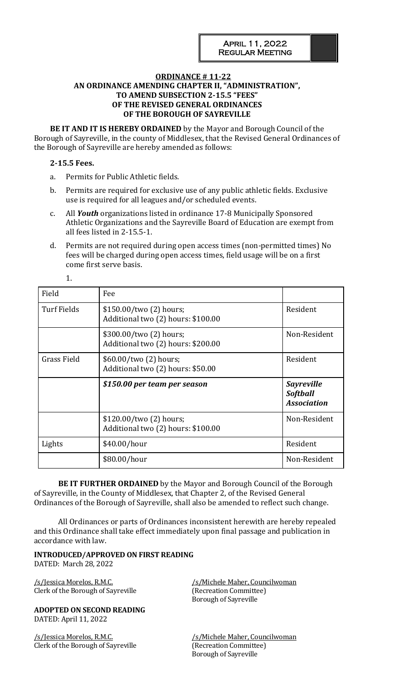# **ORDINANCE # 11-22 AN ORDINANCE AMENDING CHAPTER II, "ADMINISTRATION", TO AMEND SUBSECTION 2-15.5 "FEES" OF THE REVISED GENERAL ORDINANCES OF THE BOROUGH OF SAYREVILLE**

**BE IT AND IT IS HEREBY ORDAINED** by the Mayor and Borough Council of the Borough of Sayreville, in the county of Middlesex, that the Revised General Ordinances of the Borough of Sayreville are hereby amended as follows:

### **2-15.5 Fees.**

1.

- a. Permits for Public Athletic fields.
- b. Permits are required for exclusive use of any public athletic fields. Exclusive use is required for all leagues and/or scheduled events.
- c. All *Youth* organizations listed in ordinance 17-8 Municipally Sponsored Athletic Organizations and the Sayreville Board of Education are exempt from all fees listed in 2-15.5-1.
- d. Permits are not required during open access times (non-permitted times) No fees will be charged during open access times, field usage will be on a first come first serve basis.

| Field<br>Fee                                                                      |                                                               |                                                            |
|-----------------------------------------------------------------------------------|---------------------------------------------------------------|------------------------------------------------------------|
| <b>Turf Fields</b>                                                                | \$150.00/two (2) hours;<br>Additional two (2) hours: \$100.00 | Resident                                                   |
|                                                                                   | \$300.00/two (2) hours;<br>Additional two (2) hours: \$200.00 | Non-Resident                                               |
| <b>Grass Field</b><br>\$60.00/two (2) hours;<br>Additional two (2) hours: \$50.00 |                                                               | Resident                                                   |
|                                                                                   | \$150.00 per team per season                                  | <b>Sayreville</b><br><b>Softball</b><br><b>Association</b> |
|                                                                                   | \$120.00/two (2) hours;<br>Additional two (2) hours: \$100.00 | Non-Resident                                               |
| Lights                                                                            | \$40.00/hour                                                  | Resident                                                   |
|                                                                                   | \$80.00/hour                                                  | Non-Resident                                               |

**BE IT FURTHER ORDAINED** by the Mayor and Borough Council of the Borough of Sayreville, in the County of Middlesex, that Chapter 2, of the Revised General Ordinances of the Borough of Sayreville, shall also be amended to reflect such change.

All Ordinances or parts of Ordinances inconsistent herewith are hereby repealed and this Ordinance shall take effect immediately upon final passage and publication in accordance with law.

# **INTRODUCED/APPROVED ON FIRST READING**

DATED: March 28, 2022

/s/Jessica Morelos, R.M.C. /s/Michele Maher, Councilwoman Clerk of the Borough of Sayreville (Recreation Committee)

**ADOPTED ON SECOND READING** DATED: April 11, 2022

/s/Jessica Morelos, R.M.C. //s/Michele Maher, Councilwoman Clerk of the Borough of Sayreville (Recreation Committee)

Borough of Sayreville

Borough of Sayreville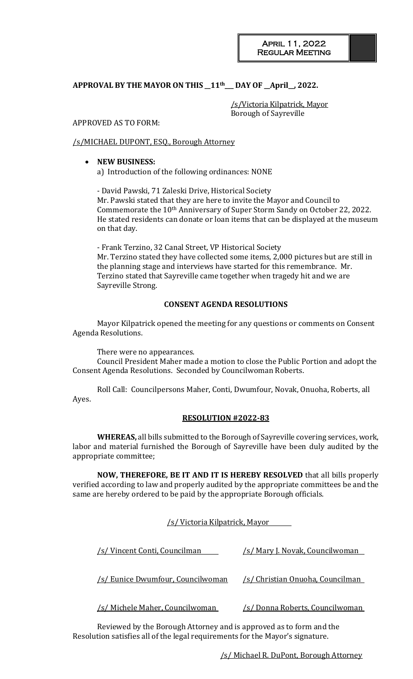# **APPROVAL BY THE MAYOR ON THIS \_\_11th\_\_\_ DAY OF \_\_April\_\_, 2022.**

/s/Victoria Kilpatrick, Mayor Borough of Sayreville

### APPROVED AS TO FORM:

### /s/MICHAEL DUPONT, ESQ., Borough Attorney

### • **NEW BUSINESS:**  a) Introduction of the following ordinances: NONE

- David Pawski, 71 Zaleski Drive, Historical Society Mr. Pawski stated that they are here to invite the Mayor and Council to Commemorate the 10th Anniversary of Super Storm Sandy on October 22, 2022. He stated residents can donate or loan items that can be displayed at the museum on that day.

- Frank Terzino, 32 Canal Street, VP Historical Society Mr. Terzino stated they have collected some items, 2,000 pictures but are still in the planning stage and interviews have started for this remembrance. Mr. Terzino stated that Sayreville came together when tragedy hit and we are Sayreville Strong.

### **CONSENT AGENDA RESOLUTIONS**

Mayor Kilpatrick opened the meeting for any questions or comments on Consent Agenda Resolutions.

There were no appearances.

Council President Maher made a motion to close the Public Portion and adopt the Consent Agenda Resolutions. Seconded by Councilwoman Roberts.

Roll Call: Councilpersons Maher, Conti, Dwumfour, Novak, Onuoha, Roberts, all Ayes.

### **RESOLUTION #2022-83**

**WHEREAS,** all bills submitted to the Borough of Sayreville covering services, work, labor and material furnished the Borough of Sayreville have been duly audited by the appropriate committee;

**NOW, THEREFORE, BE IT AND IT IS HEREBY RESOLVED** that all bills properly verified according to law and properly audited by the appropriate committees be and the same are hereby ordered to be paid by the appropriate Borough officials.

### /s/ Victoria Kilpatrick, Mayor

| /s/ Vincent Conti, Councilman          | <u>/s/ Mary J. Novak, Councilwoman_</u> |  |  |
|----------------------------------------|-----------------------------------------|--|--|
| /s/ Eunice Dwumfour, Councilwoman      | /s/ Christian Onuoha, Councilman        |  |  |
| <u>/s/ Michele Maher, Councilwoman</u> | <u>/s/ Donna Roberts, Councilwoman</u>  |  |  |

Reviewed by the Borough Attorney and is approved as to form and the Resolution satisfies all of the legal requirements for the Mayor's signature.

/s/ Michael R. DuPont, Borough Attorney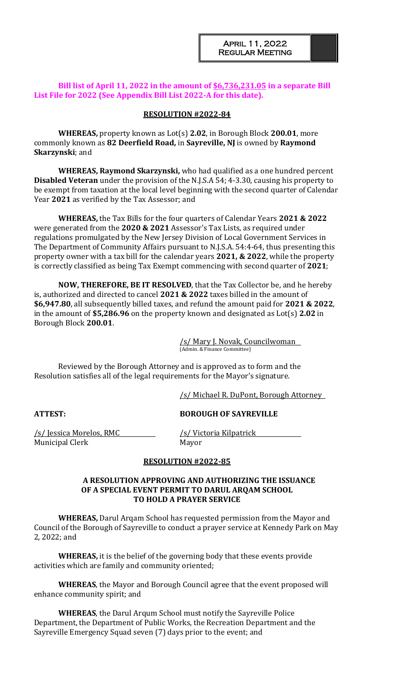### **Bill list of April 11, 2022 in the amount of \$6,736,231.05 in a separate Bill List File for 2022 (See Appendix Bill List 2022-A for this date).**

### **RESOLUTION #2022-84**

**WHEREAS,** property known as Lot(s) **2.02**, in Borough Block **200.01**, more commonly known as **82 Deerfield Road,** in **Sayreville, NJ** is owned by **Raymond Skarzynski**; and

**WHEREAS, Raymond Skarzynski,** who had qualified as a one hundred percent **Disabled Veteran** under the provision of the N.J.S.A 54; 4-3.30, causing his property to be exempt from taxation at the local level beginning with the second quarter of Calendar Year **2021** as verified by the Tax Assessor; and

**WHEREAS,** the Tax Bills for the four quarters of Calendar Years **2021 & 2022** were generated from the **2020 & 2021** Assessor's Tax Lists, as required under regulations promulgated by the New Jersey Division of Local Government Services in The Department of Community Affairs pursuant to N.J.S.A. 54:4-64, thus presenting this property owner with a tax bill for the calendar years **2021, & 2022**, while the property is correctly classified as being Tax Exempt commencing with second quarter of **2021**;

**NOW, THEREFORE, BE IT RESOLVED**, that the Tax Collector be, and he hereby is, authorized and directed to cancel **2021 & 2022** taxes billed in the amount of **\$6,947.80**, all subsequently billed taxes, and refund the amount paid for **2021 & 2022**, in the amount of **\$5,286.96** on the property known and designated as Lot(s) **2.02** in Borough Block **200.01**.

> /s/ Mary J. Novak, Councilwoman (Admin. & Finance Committee)

Reviewed by the Borough Attorney and is approved as to form and the Resolution satisfies all of the legal requirements for the Mayor's signature.

/s/ Michael R. DuPont, Borough Attorney

**ATTEST: BOROUGH OF SAYREVILLE**

/s/ Jessica Morelos, RMC /s/ Victoria Kilpatrick Municipal Clerk Mayor

### **RESOLUTION #2022-85**

### **A RESOLUTION APPROVING AND AUTHORIZING THE ISSUANCE OF A SPECIAL EVENT PERMIT TO DARUL ARQAM SCHOOL TO HOLD A PRAYER SERVICE**

**WHEREAS,** Darul Arqam School has requested permission from the Mayor and Council of the Borough of Sayreville to conduct a prayer service at Kennedy Park on May 2, 2022; and

**WHEREAS,** it is the belief of the governing body that these events provide activities which are family and community oriented;

**WHEREAS**, the Mayor and Borough Council agree that the event proposed will enhance community spirit; and

**WHEREAS**, the Darul Arqum School must notify the Sayreville Police Department, the Department of Public Works, the Recreation Department and the Sayreville Emergency Squad seven (7) days prior to the event; and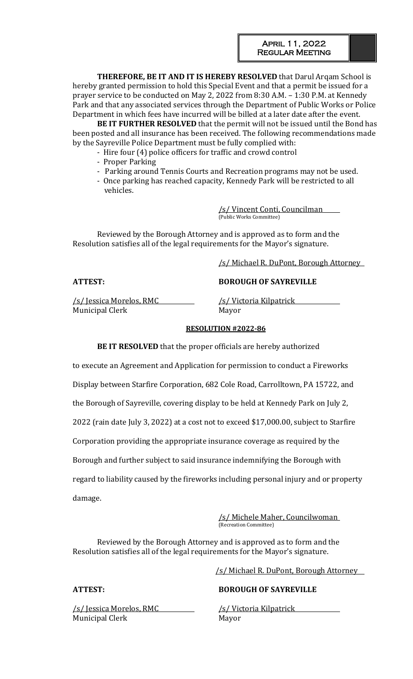**THEREFORE, BE IT AND IT IS HEREBY RESOLVED** that Darul Arqam School is hereby granted permission to hold this Special Event and that a permit be issued for a prayer service to be conducted on May 2, 2022 from 8:30 A.M. – 1:30 P.M. at Kennedy Park and that any associated services through the Department of Public Works or Police Department in which fees have incurred will be billed at a later date after the event.

**BE IT FURTHER RESOLVED** that the permit will not be issued until the Bond has been posted and all insurance has been received. The following recommendations made by the Sayreville Police Department must be fully complied with:

- Hire four (4) police officers for traffic and crowd control
	- Proper Parking
- Parking around Tennis Courts and Recreation programs may not be used.
- Once parking has reached capacity, Kennedy Park will be restricted to all vehicles.

/s/ Vincent Conti, Councilman (Public Works Committee)

Reviewed by the Borough Attorney and is approved as to form and the Resolution satisfies all of the legal requirements for the Mayor's signature.

/s/ Michael R. DuPont, Borough Attorney

# **ATTEST: BOROUGH OF SAYREVILLE**

/s/ Jessica Morelos, RMC /s/ Victoria Kilpatrick Municipal Clerk Mayor

# **RESOLUTION #2022-86**

**BE IT RESOLVED** that the proper officials are hereby authorized

to execute an Agreement and Application for permission to conduct a Fireworks

Display between Starfire Corporation, 682 Cole Road, Carrolltown, PA 15722, and

the Borough of Sayreville, covering display to be held at Kennedy Park on July 2,

2022 (rain date July 3, 2022) at a cost not to exceed \$17,000.00, subject to Starfire

Corporation providing the appropriate insurance coverage as required by the

Borough and further subject to said insurance indemnifying the Borough with

regard to liability caused by the fireworks including personal injury and or property damage.

> /s/ Michele Maher, Councilwoman (Recreation Committee)

Reviewed by the Borough Attorney and is approved as to form and the Resolution satisfies all of the legal requirements for the Mayor's signature.

/s/ Jessica Morelos, RMC /s/ Victoria Kilpatrick Municipal Clerk Mayor

# /s/ Michael R. DuPont, Borough Attorney

# **ATTEST: BOROUGH OF SAYREVILLE**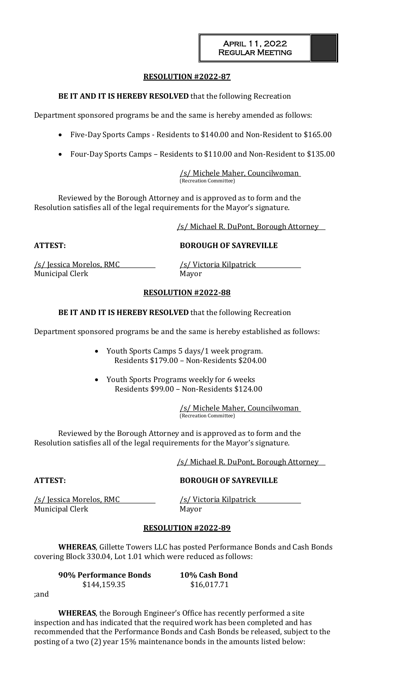### **RESOLUTION #2022-87**

### **BE IT AND IT IS HEREBY RESOLVED** that the following Recreation

Department sponsored programs be and the same is hereby amended as follows:

- Five-Day Sports Camps Residents to \$140.00 and Non-Resident to \$165.00
- Four-Day Sports Camps Residents to \$110.00 and Non-Resident to \$135.00

/s/ Michele Maher, Councilwoman (Recreation Committee)

Reviewed by the Borough Attorney and is approved as to form and the Resolution satisfies all of the legal requirements for the Mayor's signature.

/s/ Michael R. DuPont, Borough Attorney

**ATTEST: BOROUGH OF SAYREVILLE**

/s/ Jessica Morelos, RMC /s/ Victoria Kilpatrick Municipal Clerk Mayor

### **RESOLUTION #2022-88**

**BE IT AND IT IS HEREBY RESOLVED** that the following Recreation

Department sponsored programs be and the same is hereby established as follows:

- Youth Sports Camps 5 days/1 week program. Residents \$179.00 – Non-Residents \$204.00
- Youth Sports Programs weekly for 6 weeks Residents \$99.00 – Non-Residents \$124.00

/s/ Michele Maher, Councilwoman (Recreation Committee)

Reviewed by the Borough Attorney and is approved as to form and the Resolution satisfies all of the legal requirements for the Mayor's signature.

/s/ Michael R. DuPont, Borough Attorney

# **ATTEST: BOROUGH OF SAYREVILLE**

/s/ Jessica Morelos, RMC /s/ Victoria Kilpatrick Municipal Clerk Mayor

### **RESOLUTION #2022-89**

**WHEREAS**, Gillette Towers LLC has posted Performance Bonds and Cash Bonds covering Block 330.04, Lot 1.01 which were reduced as follows:

| 90% Performance Bonds | 10% Cash Bond |
|-----------------------|---------------|
| \$144,159.35          | \$16,017.71   |

;and

**WHEREAS**, the Borough Engineer's Office has recently performed a site inspection and has indicated that the required work has been completed and has recommended that the Performance Bonds and Cash Bonds be released, subject to the posting of a two (2) year 15% maintenance bonds in the amounts listed below: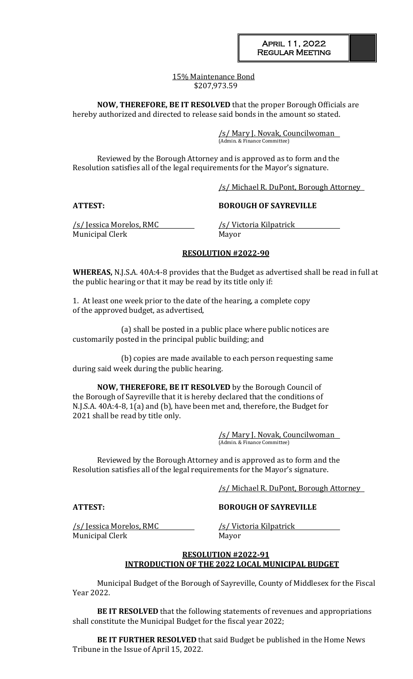### 15% Maintenance Bond \$207,973.59

**NOW, THEREFORE, BE IT RESOLVED** that the proper Borough Officials are hereby authorized and directed to release said bonds in the amount so stated.

> /s/ Mary J. Novak, Councilwoman (Admin. & Finance Committee)

Reviewed by the Borough Attorney and is approved as to form and the Resolution satisfies all of the legal requirements for the Mayor's signature.

/s/ Michael R. DuPont, Borough Attorney

### **ATTEST: BOROUGH OF SAYREVILLE**

/s/ Jessica Morelos, RMC /s/ Victoria Kilpatrick Municipal Clerk Mayor

### **RESOLUTION #2022-90**

**WHEREAS,** N.J.S.A. 40A:4-8 provides that the Budget as advertised shall be read in full at the public hearing or that it may be read by its title only if:

1. At least one week prior to the date of the hearing, a complete copy of the approved budget, as advertised,

(a) shall be posted in a public place where public notices are customarily posted in the principal public building; and

(b) copies are made available to each person requesting same during said week during the public hearing.

**NOW, THEREFORE, BE IT RESOLVED** by the Borough Council of the Borough of Sayreville that it is hereby declared that the conditions of N.J.S.A. 40A:4-8, 1(a) and (b), have been met and, therefore, the Budget for 2021 shall be read by title only.

> /s/ Mary J. Novak, Councilwoman (Admin. & Finance Committee)

Reviewed by the Borough Attorney and is approved as to form and the Resolution satisfies all of the legal requirements for the Mayor's signature.

/s/ Michael R. DuPont, Borough Attorney

/s/ Jessica Morelos, RMC /s/ Victoria Kilpatrick Municipal Clerk Mayor

**ATTEST: BOROUGH OF SAYREVILLE**

### **RESOLUTION #2022-91 INTRODUCTION OF THE 2022 LOCAL MUNICIPAL BUDGET**

Municipal Budget of the Borough of Sayreville, County of Middlesex for the Fiscal Year 2022.

**BE IT RESOLVED** that the following statements of revenues and appropriations shall constitute the Municipal Budget for the fiscal year 2022;

**BE IT FURTHER RESOLVED** that said Budget be published in the Home News Tribune in the Issue of April 15, 2022.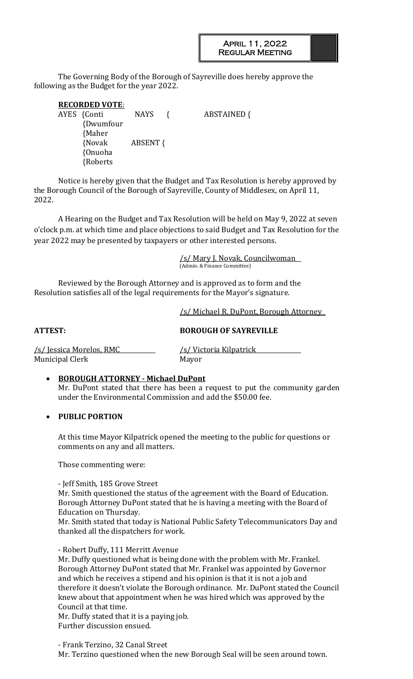The Governing Body of the Borough of Sayreville does hereby approve the following as the Budget for the year 2022.

| <b>RECORDED VOTE:</b> |                 |                    |
|-----------------------|-----------------|--------------------|
| AYES {Conti           | NAYS            | <b>ABSTAINED {</b> |
| {Dwumfour             |                 |                    |
| {Maher                |                 |                    |
| {Novak                | <b>ABSENT {</b> |                    |
| {Onuoha               |                 |                    |
| {Roberts              |                 |                    |

Notice is hereby given that the Budget and Tax Resolution is hereby approved by the Borough Council of the Borough of Sayreville, County of Middlesex, on April 11, 2022.

A Hearing on the Budget and Tax Resolution will be held on May 9, 2022 at seven o'clock p.m. at which time and place objections to said Budget and Tax Resolution for the year 2022 may be presented by taxpayers or other interested persons.

> /s/ Mary J. Novak, Councilwoman (Admin. & Finance Committee)

Reviewed by the Borough Attorney and is approved as to form and the Resolution satisfies all of the legal requirements for the Mayor's signature.

/s/ Michael R. DuPont, Borough Attorney

**ATTEST: BOROUGH OF SAYREVILLE**

/s/ Jessica Morelos, RMC /s/ Victoria Kilpatrick Municipal Clerk Mayor

# • **BOROUGH ATTORNEY - Michael DuPont**

Mr. DuPont stated that there has been a request to put the community garden under the Environmental Commission and add the \$50.00 fee.

# • **PUBLIC PORTION**

At this time Mayor Kilpatrick opened the meeting to the public for questions or comments on any and all matters.

Those commenting were:

- Jeff Smith, 185 Grove Street

Mr. Smith questioned the status of the agreement with the Board of Education. Borough Attorney DuPont stated that he is having a meeting with the Board of Education on Thursday.

Mr. Smith stated that today is National Public Safety Telecommunicators Day and thanked all the dispatchers for work.

- Robert Duffy, 111 Merritt Avenue

Mr. Duffy questioned what is being done with the problem with Mr. Frankel. Borough Attorney DuPont stated that Mr. Frankel was appointed by Governor and which he receives a stipend and his opinion is that it is not a job and therefore it doesn't violate the Borough ordinance. Mr. DuPont stated the Council knew about that appointment when he was hired which was approved by the Council at that time.

Mr. Duffy stated that it is a paying job.

Further discussion ensued.

- Frank Terzino, 32 Canal Street

Mr. Terzino questioned when the new Borough Seal will be seen around town.